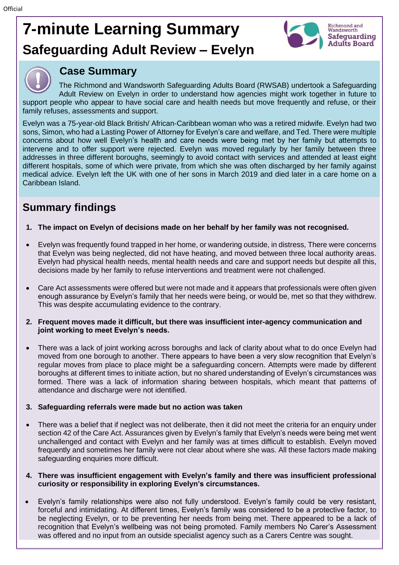# **7-minute Learning Summary Safeguarding Adult Review – Evelyn**





## **Case Summary**

The Richmond and Wandsworth Safeguarding Adults Board (RWSAB) undertook a Safeguarding Adult Review on Evelyn in order to understand how agencies might work together in future to support people who appear to have social care and health needs but move frequently and refuse, or their family refuses, assessments and support.

Evelyn was a 75-year-old Black British/ African-Caribbean woman who was a retired midwife. Evelyn had two sons, Simon, who had a Lasting Power of Attorney for Evelyn's care and welfare, and Ted. There were multiple concerns about how well Evelyn's health and care needs were being met by her family but attempts to intervene and to offer support were rejected. Evelyn was moved regularly by her family between three addresses in three different boroughs, seemingly to avoid contact with services and attended at least eight different hospitals, some of which were private, from which she was often discharged by her family against medical advice. Evelyn left the UK with one of her sons in March 2019 and died later in a care home on a Caribbean Island.

## **Summary findings**

- **1. The impact on Evelyn of decisions made on her behalf by her family was not recognised.**
- Evelyn was frequently found trapped in her home, or wandering outside, in distress, There were concerns that Evelyn was being neglected, did not have heating, and moved between three local authority areas. Evelyn had physical health needs, mental health needs and care and support needs but despite all this, decisions made by her family to refuse interventions and treatment were not challenged.
- Care Act assessments were offered but were not made and it appears that professionals were often given enough assurance by Evelyn's family that her needs were being, or would be, met so that they withdrew. This was despite accumulating evidence to the contrary.
- **2. Frequent moves made it difficult, but there was insufficient inter-agency communication and joint working to meet Evelyn's needs.**
- There was a lack of joint working across boroughs and lack of clarity about what to do once Evelyn had moved from one borough to another. There appears to have been a very slow recognition that Evelyn's regular moves from place to place might be a safeguarding concern. Attempts were made by different boroughs at different times to initiate action, but no shared understanding of Evelyn's circumstances was formed. There was a lack of information sharing between hospitals, which meant that patterns of attendance and discharge were not identified.

### **3. Safeguarding referrals were made but no action was taken**

There was a belief that if neglect was not deliberate, then it did not meet the criteria for an enquiry under section 42 of the Care Act. Assurances given by Evelyn's family that Evelyn's needs were being met went unchallenged and contact with Evelyn and her family was at times difficult to establish. Evelyn moved frequently and sometimes her family were not clear about where she was. All these factors made making safeguarding enquiries more difficult.

#### **4. There was insufficient engagement with Evelyn's family and there was insufficient professional curiosity or responsibility in exploring Evelyn's circumstances.**

• Evelyn's family relationships were also not fully understood. Evelyn's family could be very resistant, forceful and intimidating. At different times, Evelyn's family was considered to be a protective factor, to be neglecting Evelyn, or to be preventing her needs from being met. There appeared to be a lack of recognition that Evelyn's wellbeing was not being promoted. Family members No Carer's Assessment was offered and no input from an outside specialist agency such as a Carers Centre was sought.